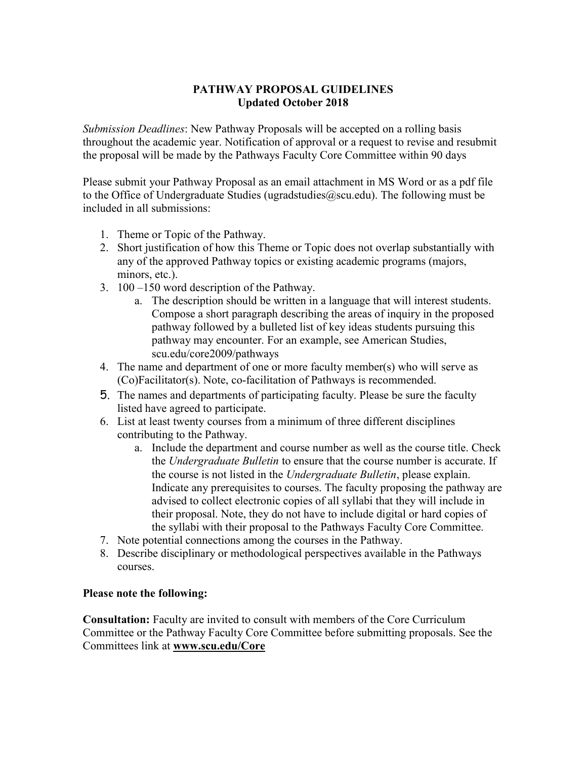## PATHWAY PROPOSAL GUIDELINES Updated October 2018

Submission Deadlines: New Pathway Proposals will be accepted on a rolling basis throughout the academic year. Notification of approval or a request to revise and resubmit the proposal will be made by the Pathways Faculty Core Committee within 90 days

Please submit your Pathway Proposal as an email attachment in MS Word or as a pdf file to the Office of Undergraduate Studies (ugradstudies  $(a)$ scu.edu). The following must be included in all submissions:

- 1. Theme or Topic of the Pathway.
- 2. Short justification of how this Theme or Topic does not overlap substantially with any of the approved Pathway topics or existing academic programs (majors, minors, etc.).
- 3. 100 –150 word description of the Pathway.
	- a. The description should be written in a language that will interest students. Compose a short paragraph describing the areas of inquiry in the proposed pathway followed by a bulleted list of key ideas students pursuing this pathway may encounter. For an example, see American Studies, scu.edu/core2009/pathways
- 4. The name and department of one or more faculty member(s) who will serve as (Co)Facilitator(s). Note, co-facilitation of Pathways is recommended.
- 5. The names and departments of participating faculty. Please be sure the faculty listed have agreed to participate.
- 6. List at least twenty courses from a minimum of three different disciplines contributing to the Pathway.
	- a. Include the department and course number as well as the course title. Check the Undergraduate Bulletin to ensure that the course number is accurate. If the course is not listed in the *Undergraduate Bulletin*, please explain. Indicate any prerequisites to courses. The faculty proposing the pathway are advised to collect electronic copies of all syllabi that they will include in their proposal. Note, they do not have to include digital or hard copies of the syllabi with their proposal to the Pathways Faculty Core Committee.
- 7. Note potential connections among the courses in the Pathway.
- 8. Describe disciplinary or methodological perspectives available in the Pathways courses.

## Please note the following:

Consultation: Faculty are invited to consult with members of the Core Curriculum Committee or the Pathway Faculty Core Committee before submitting proposals. See the Committees link at www.scu.edu/Core